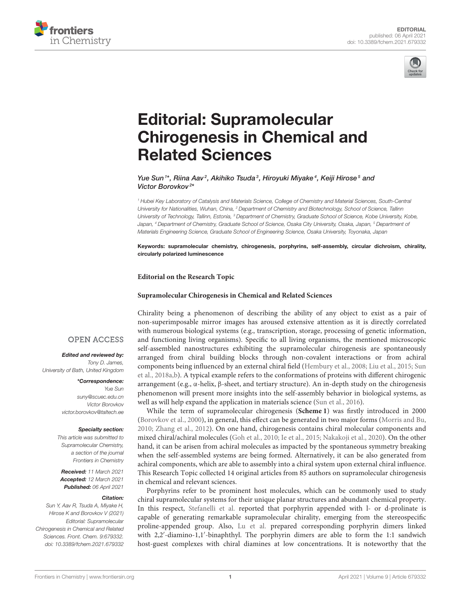



# Editorial: Supramolecular [Chirogenesis in Chemical and](https://www.frontiersin.org/articles/10.3389/fchem.2021.679332/full) Related Sciences

Yue Sun<sup>1\*</sup>, Riina Aav<sup>2</sup>, Akihiko Tsuda<sup>3</sup>, Hiroyuki Miyake<sup>4</sup>, Keiji Hirose<sup>5</sup> and Victor Borovkov<sup>2\*</sup>

*<sup>1</sup> Hubei Key Laboratory of Catalysis and Materials Science, College of Chemistry and Material Sciences, South-Central University for Nationalities, Wuhan, China, <sup>2</sup> Department of Chemistry and Biotechnology, School of Science, Tallinn University of Technology, Tallinn, Estonia, <sup>3</sup> Department of Chemistry, Graduate School of Science, Kobe University, Kobe, Japan, <sup>4</sup> Department of Chemistry, Graduate School of Science, Osaka City University, Osaka, Japan, <sup>5</sup> Department of Materials Engineering Science, Graduate School of Engineering Science, Osaka University, Toyonaka, Japan*

Keywords: supramolecular chemistry, chirogenesis, porphyrins, self-assembly, circular dichroism, chirality, circularly polarized luminescence

#### **Editorial on the Research Topic**

#### **[Supramolecular Chirogenesis in Chemical and Related Sciences](https://www.frontiersin.org/research-topics/12006/supramolecular-chirogenesis-in-chemical-and-related-sciences)**

Chirality being a phenomenon of describing the ability of any object to exist as a pair of non-superimposable mirror images has aroused extensive attention as it is directly correlated with numerous biological systems (e.g., transcription, storage, processing of genetic information, and functioning living organisms). Specific to all living organisms, the mentioned microscopic self-assembled nanostructures exhibiting the supramolecular chirogenesis are spontaneously arranged from chiral building blocks through non-covalent interactions or from achiral components being influenced by an external chiral field [\(Hembury et al., 2008;](#page-2-0) [Liu et al., 2015;](#page-2-1) Sun et al., [2018a,](#page-2-2)[b\)](#page-2-3). A typical example refers to the conformations of proteins with different chirogenic arrangement (e.g., α-helix, β-sheet, and tertiary structure). An in-depth study on the chirogenesis phenomenon will present more insights into the self-assembly behavior in biological systems, as well as will help expand the application in materials science [\(Sun et al., 2016\)](#page-2-4).

While the term of supramolecular chirogenesis (**[Scheme 1](#page-1-0)**) was firstly introduced in 2000 [\(Borovkov et al., 2000\)](#page-1-1), in general, this effect can be generated in two major forms [\(Morris and Bu,](#page-2-5) [2010;](#page-2-5) [Zhang et al., 2012\)](#page-2-6). On one hand, chirogenesis contains chiral molecular components and mixed chiral/achiral molecules [\(Goh et al., 2010;](#page-1-2) [Ie et al., 2015;](#page-2-7) [Nakakoji et al., 2020\)](#page-2-8). On the other hand, it can be arisen from achiral molecules as impacted by the spontaneous symmetry breaking when the self-assembled systems are being formed. Alternatively, it can be also generated from achiral components, which are able to assembly into a chiral system upon external chiral influence. This Research Topic collected 14 original articles from 85 authors on supramolecular chirogenesis in chemical and relevant sciences.

Porphyrins refer to be prominent host molecules, which can be commonly used to study chiral supramolecular systems for their unique planar structures and abundant chemical property. In this respect, [Stefanelli et al.](https://doi.org/10.3389/fchem.2020.587842) reported that porphyrin appended with l- or d-prolinate is capable of generating remarkable supramolecular chirality, emerging from the stereospecific proline-appended group. Also, [Lu et al.](https://doi.org/10.3389/fchem.2020.611257) prepared corresponding porphyrin dimers linked with 2,2′ -diamino-1,1′ -binaphthyl. The porphyrin dimers are able to form the 1:1 sandwich host-guest complexes with chiral diamines at low concentrations. It is noteworthy that the

### **OPEN ACCESS**

Edited and reviewed by: *Tony D. James, University of Bath, United Kingdom*

> \*Correspondence: *Yue Sun [suny@scuec.edu.cn](mailto:suny@scuec.edu.cn) Victor Borovkov [victor.borovkov@taltech.ee](mailto:victor.borovkov@taltech.ee)*

#### Specialty section:

*This article was submitted to Supramolecular Chemistry, a section of the journal Frontiers in Chemistry*

Received: *11 March 2021* Accepted: *12 March 2021* Published: *06 April 2021*

#### Citation:

*Sun Y, Aav R, Tsuda A, Miyake H, Hirose K and Borovkov V (2021) Editorial: Supramolecular Chirogenesis in Chemical and Related Sciences. Front. Chem. 9:679332. doi: [10.3389/fchem.2021.679332](https://doi.org/10.3389/fchem.2021.679332)*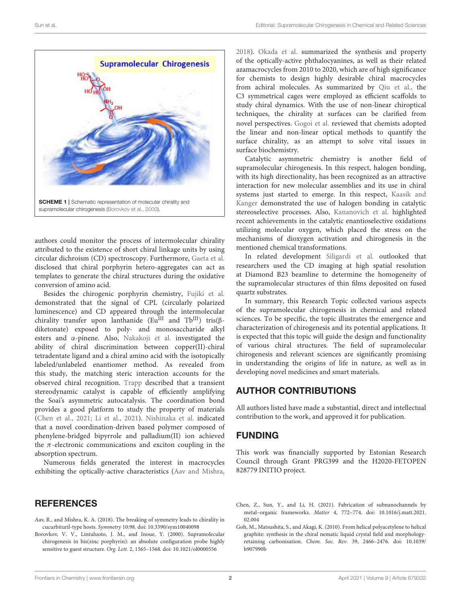

<span id="page-1-0"></span>authors could monitor the process of intermolecular chirality attributed to the existence of short chiral linkage units by using circular dichroism (CD) spectroscopy. Furthermore, [Gaeta et al.](https://doi.org/10.3389/fchem.2020.616961) disclosed that chiral porphyrin hetero-aggregates can act as templates to generate the chiral structures during the oxidative conversion of amino acid.

Besides the chirogenic porphyrin chemistry, [Fujiki et al.](https://doi.org/10.3389/fchem.2020.00685) demonstrated that the signal of CPL (circularly polarized luminescence) and CD appeared through the intermolecular chirality transfer upon lanthanide (EuIII and TbIII) tris(βdiketonate) exposed to poly- and monosaccharide alkyl esters and α-pinene. Also, [Nakakoji et al.](https://doi.org/10.3389/fchem.2020.598598) investigated the ability of chiral discrimination between copper(II)-chiral tetradentate ligand and a chiral amino acid with the isotopically labeled/unlabeled enantiomer method. As revealed from this study, the matching steric interaction accounts for the observed chiral recognition. [Trapp](https://doi.org/10.3389/fchem.2020.615800) described that a transient stereodynamic catalyst is capable of efficiently amplifying the Soai's asymmetric autocatalysis. The coordination bond provides a good platform to study the property of materials [\(Chen et al., 2021;](#page-1-3) [Li et al., 2021\)](#page-2-9). [Nishinaka et al.](https://doi.org/10.3389/fchem.2020.613932) indicated that a novel coordination-driven based polymer composed of phenylene-bridged bipyrrole and palladium(II) ion achieved the  $\pi$ -electronic communications and exciton coupling in the absorption spectrum.

Numerous fields generated the interest in macrocycles exhibiting the optically-active characteristics [\(Aav and Mishra,](#page-1-4)

## **REFERENCES**

- <span id="page-1-4"></span>Aav, R., and Mishra, K. A. (2018). The breaking of symmetry leads to chirality in cucurbituril-type hosts. Symmetry 10:98. doi: [10.3390/sym10040098](https://doi.org/10.3390/sym10040098)
- <span id="page-1-1"></span>Borovkov, V. V., Lintuluoto, J. M., and Inoue, Y. (2000). Supramolecular chirogenesis in bis(zinc porphyrin): an absolute configuration probe highly sensitive to guest structure. Org. Lett. 2, 1565–1568. doi: [10.1021/ol0000556](https://doi.org/10.1021/ol0000556)

[2018\)](#page-1-4). [Okada et al.](https://doi.org/10.3389/fchem.2020.595998) summarized the synthesis and property of the optically-active phthalocyanines, as well as their related azamacrocycles from 2010 to 2020, which are of high significance for chemists to design highly desirable chiral macrocycles from achiral molecules. As summarized by [Qiu et al.,](https://doi.org/10.3389/fchem.2020.599893) the C3 symmetrical cages were employed as efficient scaffolds to study chiral dynamics. With the use of non-linear chiroptical techniques, the chirality at surfaces can be clarified from novel perspectives. [Gogoi et al.](https://doi.org/10.3389/fchem.2020.611833) reviewed that chemists adopted the linear and non-linear optical methods to quantify the surface chirality, as an attempt to solve vital issues in surface biochemistry.

Catalytic asymmetric chemistry is another field of supramolecular chirogenesis. In this respect, halogen bonding, with its high directionality, has been recognized as an attractive interaction for new molecular assemblies and its use in chiral systems just started to emerge. In this respect, Kaasik and Kanger [demonstrated the use of halogen bonding in catalytic](https://doi.org/10.3389/fchem.2020.599064) stereoselective processes. Also, [Kananovich et al.](https://doi.org/10.3389/fchem.2021.614944) highlighted recent achievements in the catalytic enantioselective oxidations utilizing molecular oxygen, which placed the stress on the mechanisms of dioxygen activation and chirogenesis in the mentioned chemical transformations.

In related development [Siligardi et al.](https://doi.org/10.3389/fchem.2021.616928) outlooked that researchers used the CD imaging at high spatial resolution at Diamond B23 beamline to determine the homogeneity of the supramolecular structures of thin films deposited on fused quartz substrates.

In summary, this Research Topic collected various aspects of the supramolecular chirogenesis in chemical and related sciences. To be specific, the topic illustrates the emergence and characterization of chirogenesis and its potential applications. It is expected that this topic will guide the design and functionality of various chiral structures. The field of supramolecular chirogenesis and relevant sciences are significantly promising in understanding the origins of life in nature, as well as in developing novel medicines and smart materials.

## AUTHOR CONTRIBUTIONS

All authors listed have made a substantial, direct and intellectual contribution to the work, and approved it for publication.

## FUNDING

This work was financially supported by Estonian Research Council through Grant PRG399 and the H2020-FETOPEN 828779 INITIO project.

<span id="page-1-3"></span>Chen, Z., Sun, Y., and Li, H. (2021). Fabrication of subnanochannels by metal–organic frameworks. Matter [4, 772–774. doi: 10.1016/j.matt.2021.](https://doi.org/10.1016/j.matt.2021.02.004) 02.004

<span id="page-1-2"></span>Goh, M., Matsushita, S., and Akagi, K. (2010). From helical polyacetylene to helical graphite: synthesis in the chiral nematic liquid crystal field and morphologyretaining carbonisation. Chem. Soc. Rev[. 39, 2466–2476. doi: 10.1039/](https://doi.org/10.1039/b907990b) b907990b